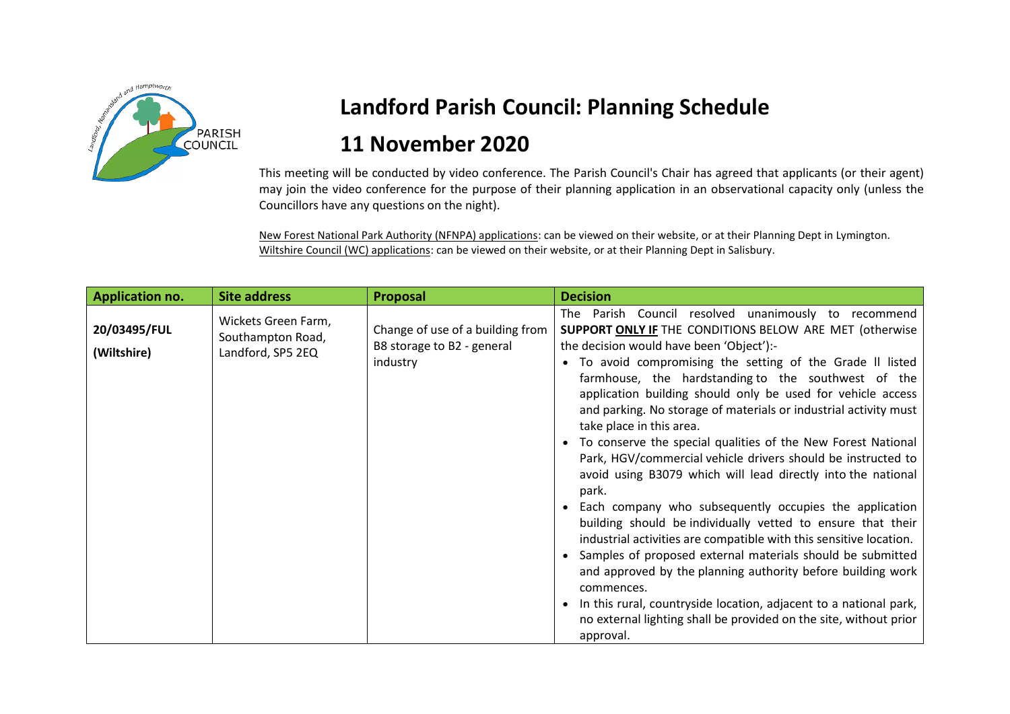

## **Landford Parish Council: Planning Schedule**

## **11 November 2020**

This meeting will be conducted by video conference. The Parish Council's Chair has agreed that applicants (or their agent) may join the video conference for the purpose of their planning application in an observational capacity only (unless the Councillors have any questions on the night).

New Forest National Park Authority (NFNPA) applications: can be viewed on their website, or at their Planning Dept in Lymington. Wiltshire Council (WC) applications: can be viewed on their website, or at their Planning Dept in Salisbury.

| <b>Application no.</b>      | <b>Site address</b>                                           | Proposal                                                                   | <b>Decision</b>                                                                                                                                                                                                                                                                                                                                                                                                                                                                                                                                                                                                                                                                                                                                                                                                                                                                                                                                                                                                                                                                                                                                         |
|-----------------------------|---------------------------------------------------------------|----------------------------------------------------------------------------|---------------------------------------------------------------------------------------------------------------------------------------------------------------------------------------------------------------------------------------------------------------------------------------------------------------------------------------------------------------------------------------------------------------------------------------------------------------------------------------------------------------------------------------------------------------------------------------------------------------------------------------------------------------------------------------------------------------------------------------------------------------------------------------------------------------------------------------------------------------------------------------------------------------------------------------------------------------------------------------------------------------------------------------------------------------------------------------------------------------------------------------------------------|
| 20/03495/FUL<br>(Wiltshire) | Wickets Green Farm,<br>Southampton Road,<br>Landford, SP5 2EQ | Change of use of a building from<br>B8 storage to B2 - general<br>industry | The Parish Council resolved unanimously to recommend<br>SUPPORT ONLY IF THE CONDITIONS BELOW ARE MET (otherwise<br>the decision would have been 'Object'):-<br>To avoid compromising the setting of the Grade II listed<br>farmhouse, the hardstanding to the southwest of the<br>application building should only be used for vehicle access<br>and parking. No storage of materials or industrial activity must<br>take place in this area.<br>To conserve the special qualities of the New Forest National<br>Park, HGV/commercial vehicle drivers should be instructed to<br>avoid using B3079 which will lead directly into the national<br>park.<br>Each company who subsequently occupies the application<br>building should be individually vetted to ensure that their<br>industrial activities are compatible with this sensitive location.<br>Samples of proposed external materials should be submitted<br>and approved by the planning authority before building work<br>commences.<br>In this rural, countryside location, adjacent to a national park,<br>no external lighting shall be provided on the site, without prior<br>approval. |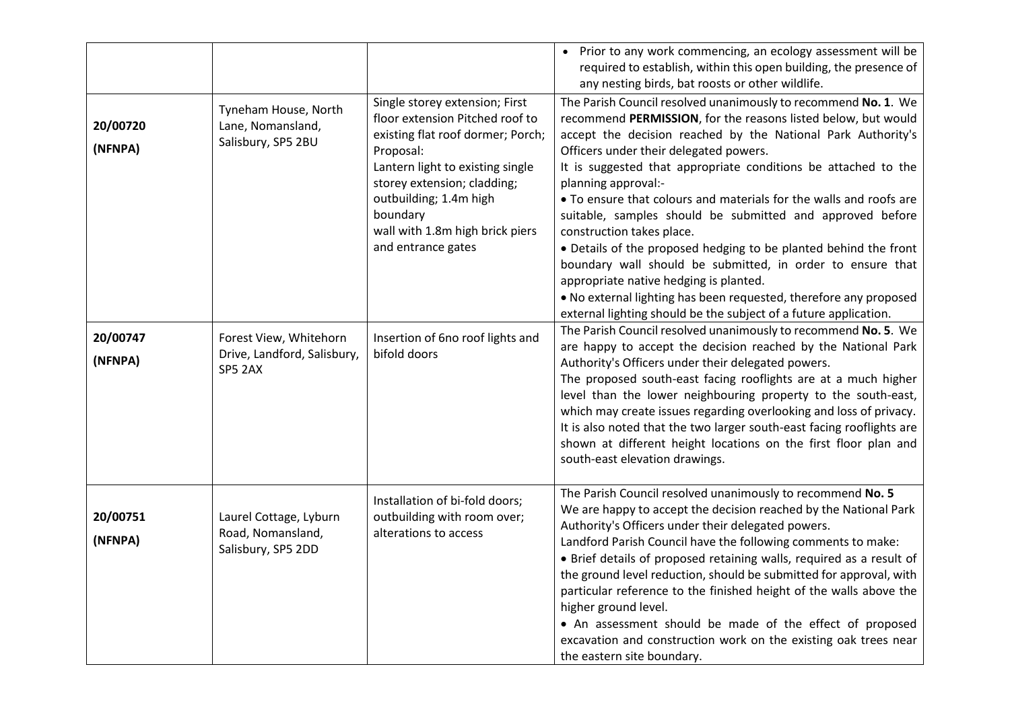|                     |                                                                   |                                                                                                                                                                                                                                                                                       | • Prior to any work commencing, an ecology assessment will be<br>required to establish, within this open building, the presence of<br>any nesting birds, bat roosts or other wildlife.                                                                                                                                                                                                                                                                                                                                                                                                                                                                                                                                                                                                                                                                                                    |
|---------------------|-------------------------------------------------------------------|---------------------------------------------------------------------------------------------------------------------------------------------------------------------------------------------------------------------------------------------------------------------------------------|-------------------------------------------------------------------------------------------------------------------------------------------------------------------------------------------------------------------------------------------------------------------------------------------------------------------------------------------------------------------------------------------------------------------------------------------------------------------------------------------------------------------------------------------------------------------------------------------------------------------------------------------------------------------------------------------------------------------------------------------------------------------------------------------------------------------------------------------------------------------------------------------|
| 20/00720<br>(NFNPA) | Tyneham House, North<br>Lane, Nomansland,<br>Salisbury, SP5 2BU   | Single storey extension; First<br>floor extension Pitched roof to<br>existing flat roof dormer; Porch;<br>Proposal:<br>Lantern light to existing single<br>storey extension; cladding;<br>outbuilding; 1.4m high<br>boundary<br>wall with 1.8m high brick piers<br>and entrance gates | The Parish Council resolved unanimously to recommend No. 1. We<br>recommend PERMISSION, for the reasons listed below, but would<br>accept the decision reached by the National Park Authority's<br>Officers under their delegated powers.<br>It is suggested that appropriate conditions be attached to the<br>planning approval:-<br>• To ensure that colours and materials for the walls and roofs are<br>suitable, samples should be submitted and approved before<br>construction takes place.<br>• Details of the proposed hedging to be planted behind the front<br>boundary wall should be submitted, in order to ensure that<br>appropriate native hedging is planted.<br>. No external lighting has been requested, therefore any proposed<br>external lighting should be the subject of a future application.<br>The Parish Council resolved unanimously to recommend No. 5. We |
| 20/00747<br>(NFNPA) | Forest View, Whitehorn<br>Drive, Landford, Salisbury,<br>SP5 2AX  | Insertion of 6no roof lights and<br>bifold doors                                                                                                                                                                                                                                      | are happy to accept the decision reached by the National Park<br>Authority's Officers under their delegated powers.<br>The proposed south-east facing rooflights are at a much higher<br>level than the lower neighbouring property to the south-east,<br>which may create issues regarding overlooking and loss of privacy.<br>It is also noted that the two larger south-east facing rooflights are<br>shown at different height locations on the first floor plan and<br>south-east elevation drawings.                                                                                                                                                                                                                                                                                                                                                                                |
| 20/00751<br>(NFNPA) | Laurel Cottage, Lyburn<br>Road, Nomansland,<br>Salisbury, SP5 2DD | Installation of bi-fold doors;<br>outbuilding with room over;<br>alterations to access                                                                                                                                                                                                | The Parish Council resolved unanimously to recommend No. 5<br>We are happy to accept the decision reached by the National Park<br>Authority's Officers under their delegated powers.<br>Landford Parish Council have the following comments to make:<br>• Brief details of proposed retaining walls, required as a result of<br>the ground level reduction, should be submitted for approval, with<br>particular reference to the finished height of the walls above the<br>higher ground level.<br>• An assessment should be made of the effect of proposed<br>excavation and construction work on the existing oak trees near<br>the eastern site boundary.                                                                                                                                                                                                                             |